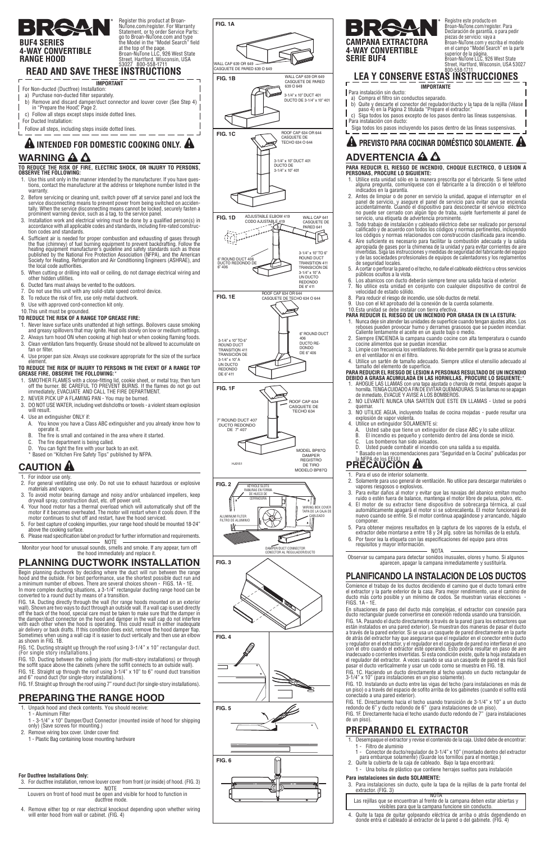- 3. Limpie con frecuencia los ventiladores. No debe permitir que la grasa se acumule en el ventilador ni en el filtro.
- 4. Utilice un sartén de tamaño adecuado. Siempre utilice el utensilio adecuado al tamaño del elemento de superficie.

- 1. AHOGUE LAS LLAMAS con una tapa ajustada o charola de metal, después apague la hornilla. TENGA CUIDADO A FIN DE EVITAR QUEMADURAS. Si las llamas no se apagan de inmediato, EVACUE Y AVISE A LOS BOMBEROS.
- 2. NO LEVANTE NUNCA UNA SARTEN QUE ESTE EN LLAMAS Usted se podrá quemar.
- 3. NO UTILICE AGUA, incluyendo toallas de cocina mojadas puede resultar una explosión de vapor violenta.
- 4. Utilice un extinguidor SOLAMENTE si:
	- A. Usted sabe que tiene un extinguidor de clase ABC y lo sabe utilizar.
	- B. El incendio es pequeño y contenido dentro del área donde se inició.
	- C. Los bomberos han sido avisados.<br>D. Usted puede combatir el incendio
	- Usted puede combatir el incendio con una salida a su espalda

#### **PARA REDUCIR EL RIESGO DE LESION A PERSONAS RESULTADO DE UN INCENDIO DEBIDO A GRASA ACUMULADA EN LAS HORNILLAS, PROCURE LO SIGUIENTE:**\*

- a) Purchase non-ducted filter separately.
- b) Remove and discard damper/duct connector and louver cover (See Step 4) in "Prepare the Hood" Page 2.
- c) Follow all steps except steps inside dotted lines.
- For Ducted Installation:

\* Basado en las recomendaciones para "Seguridad en la Cocina" publicadas por

### **TO REDUCE THE RISK OF FIRE, ELECTRIC SHOCK, OR INJURY TO PERSONS, OBSERVE THE FOLLOWING:**

- 1. Para el uso de interior solamente.<br>2. Solamente para uso general de ven 2. Solamente para uso general de ventilación. No utilice para descargar materiales o
- vapores riesgosos o explosivos.
- 3. Para evitar daños al motor y evitar que las navajas del abanico emitan mucho
- ruido o estén fuera de balance, mantenga el motor libre de pelusa, polvo, etc. 4. El motor de su extractor tiene dispositivo de sobrecarga térmica, al cual automáticamente apagará el motor si se sobrecalienta. El motor funcionará de nuevo cuando se enfríe. Si el motor continua apagándose y arrancando, hágalo componer.
- 5. Para obtener mejores resultados en la captura de los vapores de la estufa, el extractor debe montarse a entre 18 y 24 plg. sobre las hornillas de la estufa.
- 6. Por favor lea la etiqueta con las especifi caciones del equipo para otros requisitos y mayor información.
	- NOTA
- 1. Use this unit only in the manner intended by the manufacturer. If you have questions, contact the manufacturer at the address or telephone number listed in the warranty.
- 2. Before servicing or cleaning unit, switch power off at service panel and lock the service disconnecting means to prevent power from being switched on accidentally. When the service disconnecting means cannot be locked, securely fasten a prominent warning device, such as a tag, to the service panel.
- 3. Installation work and electrical wiring must be done by a qualified person(s) in accordance with all applicable codes and standards, including fire-rated construction codes and standards.
- 4. Sufficient air is needed for proper combustion and exhausting of gases through the flue (chimney) of fuel burning equipment to prevent backdrafting. Follow the heating equipment manufacturer's guideline and safety standards such as those published by the National Fire Protection Association (NFPA), and the American Society for Heating, Refrigeration and Air Conditioning Engineers (ASHRAE), and the local code authorities.
- 5. When cutting or drilling into wall or ceiling, do not damage electrical wiring and other hidden utilities.
- 6. Ducted fans must always be vented to the outdoors.
- 7. Do not use this unit with any solid-state speed control device.
- 8. To reduce the risk of fire, use only metal ductwork.
- 9. Use with approved cord-connection kit only.
- 10. This unit must be grounded.
- **TO REDUCE THE RISK OF A RANGE TOP GREASE FIRE:**
- 1. Never leave surface units unattended at high settings. Boilovers cause smoking and greasy spillovers that may ignite. Heat oils slowly on low or medium settings.
- 2. Always turn hood ON when cooking at high heat or when cooking flaming foods.
- 3. Clean ventilation fans frequently. Grease should not be allowed to accumulate on fan or filter.
- 4. Use proper pan size. Always use cookware appropriate for the size of the surface element.

#### **TO REDUCE THE RISK OF INJURY TO PERSONS IN THE EVENT OF A RANGE TOP GREASE FIRE, OBSERVE THE FOLLOWING:**\*

- 1. SMOTHER FLAMES with a close-fitting lid, cookie sheet, or metal tray, then turn off the burner. BE CAREFUL TO PREVENT BURNS. If the flames do not go out immediately, EVACUATE AND CALL THE FIRE DEPARTMENT.
- 2. NEVER PICK UP A FLAMING PAN You may be burned.
- 3. DO NOT USE WATER, including wet dishcloths or towels a violent steam explosion will result.
- 4. Use an extinguisher ONLY if:
- A. You know you have a Class ABC extinguisher and you already know how to operate it.
- B. The fire is small and contained in the area where it started
- C. The fire department is being called.
- D. You can fight the fire with your back to an exit.
- Based on "Kitchen Fire Safety Tips" published by NFPA.

# **CAUTION A**

# la NFPA de los EEUU. **PRECAUCION**

#### **IMPORTANT** For Non-ducted (Ductfree) Installation:

Follow all steps, including steps inside dotted lines.

# **WARNING A A A** INTENDED FOR DOMESTIC COOKING ONLY. A  $\blacksquare$   $\blacksquare$   $\blacksquare$   $\blacksquare$   $\blacksquare$   $\blacksquare$  PREVISTO PARA COCINAR DOMÉSTICO SOLAMENTE. A

**BUF4 SERIES** 

**4-WAY CONVERTIBLE**

**RANGE HOOD**

- Filtro de aluminio
- 1 Conector de ducto/regulador de 3-1/4" x 10" (montado dentro del extractor para embarque solamente) (Guarde los tornillos para el montaje.)
- 2. Quite la cubierta de la caja de cableado. Bajo la tapa encontrará:
- 1. For indoor use only.
- 2. For general ventilating use only. Do not use to exhaust hazardous or explosive materials and vapors.
- 3. To avoid motor bearing damage and noisy and/or unbalanced impellers, keep drywall spray, construction dust, etc. off power unit.
- 4. Your hood motor has a thermal overload which will automatically shut off the motor if it becomes overheated. The motor will restart when it cools down. If the motor continues to shut off and restart, have the hood serviced.
- 5. For best capture of cooking impurities, your range hood should be mounted 18-24" above the cooking surface.
- 6. Please read specification label on product for further information and requirements. NOTE
- Monitor your hood for unusual sounds, smells and smoke. If any appear, turn off the hood immediately and replace it.



### **READ AND SAVE THESE INSTRUCTIONS** 53027 800-558-1711

Observar su campana para detectar sonidos inusuales, olores y humo. Si algunos aparecen, apagar la campana inmediatamente y sustituirla.

## **PLANIFICANDO LA INSTALACION DE LOS DUCTOS**

Comience el trabajo de los ductos decidiendo el camino que el ducto tomará entre el extractor y la parte exterior de la casa. Para mejor rendimiento, use el camino de ducto más corto posible y un mínimo de codos. Se muestran varias elecciones - FIGS. 1A - 1E.

En situaciones de paso del ducto más complejas, el extractor con conexión para ducto rectangular puede convertirse en conexión redonda usando una transición. FIG. 1A. Pasando el ducto directamente a través de la pared (para los extractores que están instalados en una pared exterior). Se muestran dos maneras de pasar el ducto a través de la pared exterior. Si se usa un casquete de pared directamente en la parte de atrás del extractor hay que asegurarse que el regulador en el conector entre ducto y regulador en el extractor, y el regulador en el casquete de pared no interfieran el uno con el otro cuando el extractor esté operando. Esto podría resultar en paso de aire inadecuado o corrientes invertidas. Si esta condición existe, quite la hoja instalada en el regulador del extractor. A veces cuando se usa un casquete de pared es más fácil pasar el ducto verticalmente y usar un codo como se muestra en FIG. 1B. FIG. 1C. Haciendo un ducto directamente al techo usando un ducto rectangular de 3-1/4" x 10" (para instalaciones en un piso solamente). FIG. 1D. Instalando un ducto entre las vigas del techo (para instalaciones en más de<br>un piso) o a través del espacio de sofito arriba de los gabinetes (cuando el sofito está conectado a una pared exterior). FIG. 1E. Directamente hacia el techo usando transición de 3-1/4" x 10" a un ducto redondo de 6" y ducto redondo de 6" (para instalaciones de un piso). FIG. 1F. Directamente hacia el techo usando ducto redondo de 7" (para instalaciones de un piso).

# **PLANNING DUCTWORK INSTALLATION**

Begin planning ductwork by deciding where the duct will run between the range hood and the outside. For best performance, use the shortest possible duct run and a minimum number of elbows. There are several choices shown - FIGS. 1A - 1E. In more complex ducting situations, a 3-1/4" rectangular ducting range hood can be converted to a round duct by means of a transition.

FIG. 1A. Ducting directly through the wall (for range hoods mounted on an exterior wall). Shown are two ways to duct through an outside wall. If a wall cap is used directly off the back of the hood, special care must be taken to make sure that the damper in tor on the hood and damper in with each other when the hood is operating. This could result in either inadequate air delivery or back drafts. If this condition does exist, remove the hood damper flap. Sometimes when using a wall cap it is easier to duct vertically and then use an elbow as shown in FIG. 1B. FIG. 1C. Ducting straight up through the roof using 3-1/4" x 10" rectangular duct. (For single story installations.) FIG. 1D. Ducting between the ceiling joists (for multi-story installations) or through<br>the soffit space above the cabinets (where the soffit connects to an outside wall). FIG. 1E. Straight up through the roof using 3-1/4" x 10" to 6" round duct transition and 6" round duct (for single-story installations). FIG. 1F. Straight up through the roof using 7" round duct (for single-story installations).

## **PREPARING THE RANGE HOOD**

1. Unpack hood and check contents. You should receive:

- 1 Aluminum Filter
- 1 3-1/4" x 10" Damper/Duct Connector (mounted inside of hood for shipping only) (Save screws for mounting.)
- 2. Remove wiring box cover. Under cover find:
	- 1 Plastic Bag containing loose mounting hardware



**For Ductfree Installations Only:**

3. For ductfree installation, remove louver cover from front (or inside) of hood. (FIG. 3)

NOTE Louvers on front of hood must be open and visible for hood to function in ductfree mode.

4. Remove either top or rear electrical knockout depending upon whether wiring will enter hood from wall or cabinet. (FIG. 4)

**FIG. 3**

CABLEADO



DAMPER/DUCT CONNECTOR CONECTOR AL REGULADOR/DUCTO

# **PREPARANDO EL EXTRACTOR**

1. Desempaque el extractor y revise el contenido de la caja. Usted debe de encontrar:

1 - Una bolsa de plástico que contiene herrajes sueltos para instalación

### **Para instalaciones sin ducto SOLAMENTE:**

3. Para instalaciones sin ducto, quite la tapa de la rejillas de la parte frontal del extractor. (FIG. 3)

NOTA

Las rejillas que se encuentran al frente de la campana deben estar abiertas y visibles para que la campana funcione sin conducto.

4. Quite la tapa de quitar golpeando eléctrica de arriba o atrás dependiendo en donde entra el cableado al extractor de la pared o del gabinete. (FIG. 4)

Register this product at Broan-NuTone.com/register. For Warranty Statement, or to order Service Parts: go to Broan-NuTone.com and type the Model in the "Model Search" field at the top of the page. Broan-NuTone LLC, 926 West State Street, Hartford, Wisconsin, USA

ALUMINUM FILTER FILTRO DE ALUMINIO

叱